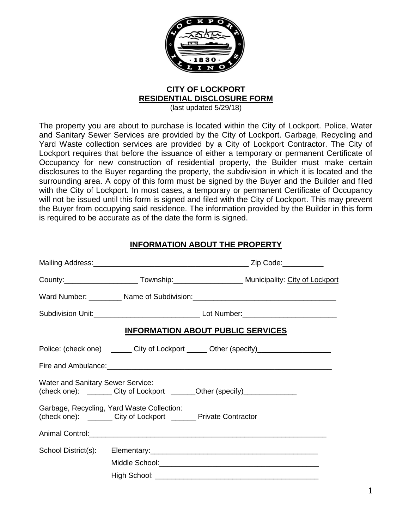

# **CITY OF LOCKPORT RESIDENTIAL DISCLOSURE FORM**

(last updated 5/29/18)

The property you are about to purchase is located within the City of Lockport. Police, Water and Sanitary Sewer Services are provided by the City of Lockport. Garbage, Recycling and Yard Waste collection services are provided by a City of Lockport Contractor. The City of Lockport requires that before the issuance of either a temporary or permanent Certificate of Occupancy for new construction of residential property, the Builder must make certain disclosures to the Buyer regarding the property, the subdivision in which it is located and the surrounding area. A copy of this form must be signed by the Buyer and the Builder and filed with the City of Lockport. In most cases, a temporary or permanent Certificate of Occupancy will not be issued until this form is signed and filed with the City of Lockport. This may prevent the Buyer from occupying said residence. The information provided by the Builder in this form is required to be accurate as of the date the form is signed.

### **INFORMATION ABOUT THE PROPERTY**

|                                   |                                                                                                                  | <b>INFORMATION ABOUT PUBLIC SERVICES</b>                                                                       |
|-----------------------------------|------------------------------------------------------------------------------------------------------------------|----------------------------------------------------------------------------------------------------------------|
|                                   |                                                                                                                  | Police: (check one) ________ City of Lockport _______ Other (specify)___________________                       |
|                                   |                                                                                                                  | Fire and Ambulance: 1990 March 2008 March 2009 March 2009 March 2009 March 2009 March 2009 March 2009 March 20 |
| Water and Sanitary Sewer Service: |                                                                                                                  | (check one): ________ City of Lockport _______Other (specify)______________                                    |
|                                   | Garbage, Recycling, Yard Waste Collection:<br>(check one): ________ City of Lockport ________ Private Contractor |                                                                                                                |
|                                   | Animal Control: 2008 2009 2010 2020 2020 2021 2022 2023 2024 2022 2023 2024 2022 2023 2024 2022 2023 2024 2022   |                                                                                                                |
|                                   |                                                                                                                  |                                                                                                                |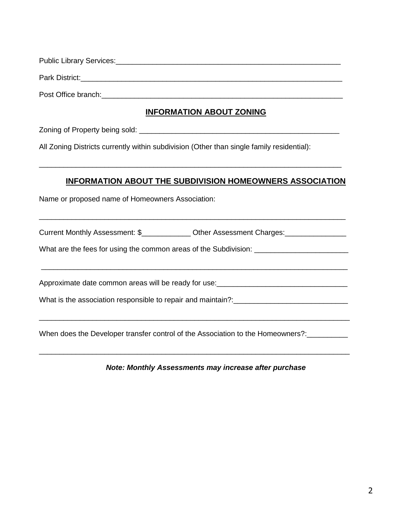| Public Library Services: |  |  |
|--------------------------|--|--|
| Park District:           |  |  |

Post Office branch:

## **INFORMATION ABOUT ZONING**

Zoning of Property being sold: \_\_\_\_\_\_\_\_\_\_\_\_\_\_\_\_\_\_\_\_\_\_\_\_\_\_\_\_\_\_\_\_\_\_\_\_\_\_\_\_\_\_\_\_\_\_\_\_\_

All Zoning Districts currently within subdivision (Other than single family residential):

### **INFORMATION ABOUT THE SUBDIVISION HOMEOWNERS ASSOCIATION**

Name or proposed name of Homeowners Association:

Current Monthly Assessment: \$\_\_\_\_\_\_\_\_\_\_\_\_\_ Other Assessment Charges: \_\_\_\_\_\_\_\_\_\_\_

\_\_\_\_\_\_\_\_\_\_\_\_\_\_\_\_\_\_\_\_\_\_\_\_\_\_\_\_\_\_\_\_\_\_\_\_\_\_\_\_\_\_\_\_\_\_\_\_\_\_\_\_\_\_\_\_\_\_\_\_\_\_\_\_\_\_\_\_\_\_\_\_\_\_\_

\_\_\_\_\_\_\_\_\_\_\_\_\_\_\_\_\_\_\_\_\_\_\_\_\_\_\_\_\_\_\_\_\_\_\_\_\_\_\_\_\_\_\_\_\_\_\_\_\_\_\_\_\_\_\_\_\_\_\_\_\_\_\_\_\_\_\_\_\_\_\_\_\_\_\_\_

\_\_\_\_\_\_\_\_\_\_\_\_\_\_\_\_\_\_\_\_\_\_\_\_\_\_\_\_\_\_\_\_\_\_\_\_\_\_\_\_\_\_\_\_\_\_\_\_\_\_\_\_\_\_\_\_\_\_\_\_\_\_\_\_\_\_\_\_\_\_\_\_\_\_\_\_

\_\_\_\_\_\_\_\_\_\_\_\_\_\_\_\_\_\_\_\_\_\_\_\_\_\_\_\_\_\_\_\_\_\_\_\_\_\_\_\_\_\_\_\_\_\_\_\_\_\_\_\_\_\_\_\_\_\_\_\_\_\_\_\_\_\_\_\_\_\_\_\_\_\_\_

\_\_\_\_\_\_\_\_\_\_\_\_\_\_\_\_\_\_\_\_\_\_\_\_\_\_\_\_\_\_\_\_\_\_\_\_\_\_\_\_\_\_\_\_\_\_\_\_\_\_\_\_\_\_\_\_\_\_\_\_\_\_\_\_\_\_\_\_\_\_\_\_\_\_

What are the fees for using the common areas of the Subdivision: \_\_\_\_\_\_\_\_\_\_\_\_\_\_\_\_

Approximate date common areas will be ready for use:\_\_\_\_\_\_\_\_\_\_\_\_\_\_\_\_\_\_\_\_\_\_\_\_\_\_\_\_\_\_\_\_

What is the association responsible to repair and maintain?:<br>

When does the Developer transfer control of the Association to the Homeowners?:

*Note: Monthly Assessments may increase after purchase*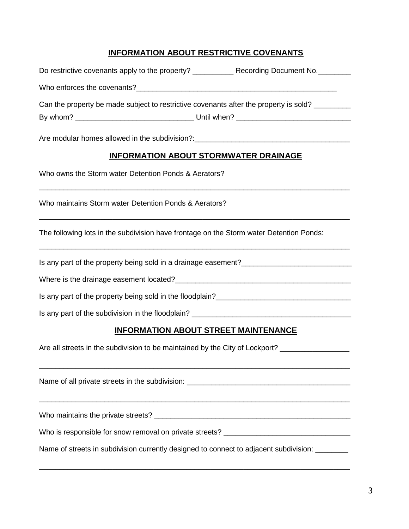### **INFORMATION ABOUT RESTRICTIVE COVENANTS**

|                                                                                  | Can the property be made subject to restrictive covenants after the property is sold? |
|----------------------------------------------------------------------------------|---------------------------------------------------------------------------------------|
|                                                                                  |                                                                                       |
| Are modular homes allowed in the subdivision?:__________________________________ |                                                                                       |
|                                                                                  | <b>INFORMATION ABOUT STORMWATER DRAINAGE</b>                                          |
| Who owns the Storm water Detention Ponds & Aerators?                             |                                                                                       |
| Who maintains Storm water Detention Ponds & Aerators?                            |                                                                                       |
|                                                                                  |                                                                                       |

The following lots in the subdivision have frontage on the Storm water Detention Ponds:

\_\_\_\_\_\_\_\_\_\_\_\_\_\_\_\_\_\_\_\_\_\_\_\_\_\_\_\_\_\_\_\_\_\_\_\_\_\_\_\_\_\_\_\_\_\_\_\_\_\_\_\_\_\_\_\_\_\_\_\_\_\_\_\_\_\_\_\_\_\_\_\_\_\_\_\_

Is any part of the property being sold in a drainage easement?\_\_\_\_\_\_\_\_\_\_\_\_\_\_\_\_\_\_\_\_\_\_\_\_\_\_\_

Where is the drainage easement located?

Is any part of the property being sold in the floodplain?\_\_\_\_\_\_\_\_\_\_\_\_\_\_\_\_\_\_\_\_\_\_\_\_\_\_\_\_\_\_\_\_\_

Is any part of the subdivision in the floodplain?

### **INFORMATION ABOUT STREET MAINTENANCE**

Are all streets in the subdivision to be maintained by the City of Lockport? \_\_\_\_\_\_\_\_\_\_\_\_\_\_\_\_\_\_\_\_\_\_

Name of all private streets in the subdivision: \_\_\_\_\_\_\_\_\_\_\_\_\_\_\_\_\_\_\_\_\_\_\_\_\_\_\_\_\_\_\_\_\_\_\_\_\_\_\_\_ \_\_\_\_\_\_\_\_\_\_\_\_\_\_\_\_\_\_\_\_\_\_\_\_\_\_\_\_\_\_\_\_\_\_\_\_\_\_\_\_\_\_\_\_\_\_\_\_\_\_\_\_\_\_\_\_\_\_\_\_\_\_\_\_\_\_\_\_\_\_\_\_\_\_\_\_

\_\_\_\_\_\_\_\_\_\_\_\_\_\_\_\_\_\_\_\_\_\_\_\_\_\_\_\_\_\_\_\_\_\_\_\_\_\_\_\_\_\_\_\_\_\_\_\_\_\_\_\_\_\_\_\_\_\_\_\_\_\_\_\_\_\_\_\_\_\_\_\_\_\_\_\_

Who maintains the private streets? \_\_\_\_\_\_\_\_\_\_\_\_\_\_\_\_\_\_\_\_\_\_\_\_\_\_\_\_\_\_\_\_\_\_\_\_\_\_\_\_\_\_\_\_\_\_\_\_

Who is responsible for snow removal on private streets? \_\_\_\_\_\_\_\_\_\_\_\_\_\_\_\_\_\_\_\_\_\_\_\_

Name of streets in subdivision currently designed to connect to adjacent subdivision: \_\_\_\_\_\_\_\_

\_\_\_\_\_\_\_\_\_\_\_\_\_\_\_\_\_\_\_\_\_\_\_\_\_\_\_\_\_\_\_\_\_\_\_\_\_\_\_\_\_\_\_\_\_\_\_\_\_\_\_\_\_\_\_\_\_\_\_\_\_\_\_\_\_\_\_\_\_\_\_\_\_\_\_\_